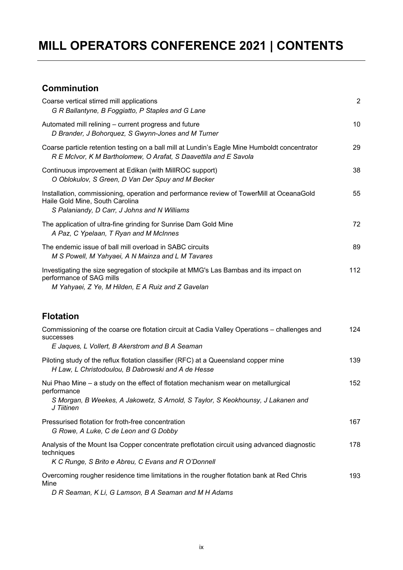## **MILL OPERATORS CONFERENCE 2021 | CONTENTS**

## **Comminution**

| Coarse vertical stirred mill applications<br>G R Ballantyne, B Foggiatto, P Staples and G Lane                                                                                                     | $\overline{2}$ |
|----------------------------------------------------------------------------------------------------------------------------------------------------------------------------------------------------|----------------|
| Automated mill relining - current progress and future<br>D Brander, J Bohorquez, S Gwynn-Jones and M Turner                                                                                        | 10             |
| Coarse particle retention testing on a ball mill at Lundin's Eagle Mine Humboldt concentrator<br>R E McIvor, K M Bartholomew, O Arafat, S Daavettila and E Savola                                  | 29             |
| Continuous improvement at Edikan (with MillROC support)<br>O Oblokulov, S Green, D Van Der Spuy and M Becker                                                                                       | 38             |
| Installation, commissioning, operation and performance review of TowerMill at OceanaGold<br>Haile Gold Mine, South Carolina<br>S Palaniandy, D Carr, J Johns and N Williams                        | 55             |
| The application of ultra-fine grinding for Sunrise Dam Gold Mine<br>A Paz, C Ypelaan, T Ryan and M McInnes                                                                                         | 72             |
| The endemic issue of ball mill overload in SABC circuits<br>M S Powell, M Yahyaei, A N Mainza and L M Tavares                                                                                      | 89             |
| Investigating the size segregation of stockpile at MMG's Las Bambas and its impact on<br>performance of SAG mills<br>M Yahyaei, Z Ye, M Hilden, E A Ruiz and Z Gavelan                             | 112            |
| <b>Flotation</b>                                                                                                                                                                                   |                |
| Commissioning of the coarse ore flotation circuit at Cadia Valley Operations - challenges and<br>successes<br>E Jaques, L Vollert, B Akerstrom and B A Seaman                                      | 124            |
| Piloting study of the reflux flotation classifier (RFC) at a Queensland copper mine<br>H Law, L Christodoulou, B Dabrowski and A de Hesse                                                          | 139            |
| Nui Phao Mine – a study on the effect of flotation mechanism wear on metallurgical<br>performance<br>S Morgan, B Weekes, A Jakowetz, S Arnold, S Taylor, S Keokhounsy, J Lakanen and<br>J Tiitinen | 152            |
| Pressurised flotation for froth-free concentration<br>G Rowe, A Luke, C de Leon and G Dobby                                                                                                        | 167            |
| Analysis of the Mount Isa Copper concentrate preflotation circuit using advanced diagnostic<br>techniques<br>K C Runge, S Brito e Abreu, C Evans and R O'Donnell                                   | 178            |
| Overcoming rougher residence time limitations in the rougher flotation bank at Red Chris<br>Mine<br>$D \nvert P$ Cooman K Ii C Lamson $P$ A Cooman and M H Adams                                   | 193            |
|                                                                                                                                                                                                    |                |

*D R Seaman, K Li, G Lamson, B A Seaman and M H Adams*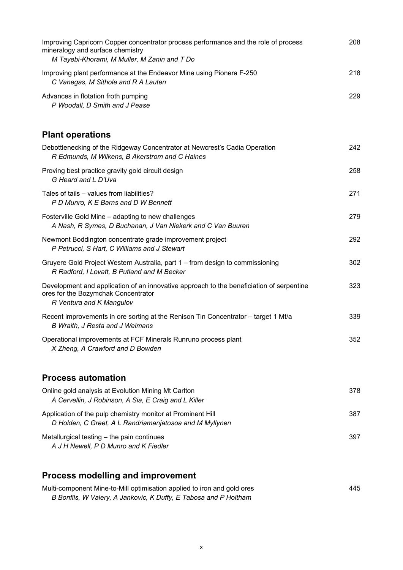| Improving Capricorn Copper concentrator process performance and the role of process<br>mineralogy and surface chemistry<br>M Tayebi-Khorami, M Muller, M Zanin and T Do | 208 |
|-------------------------------------------------------------------------------------------------------------------------------------------------------------------------|-----|
| Improving plant performance at the Endeavor Mine using Pionera F-250<br>C Vanegas, M Sithole and R A Lauten                                                             | 218 |
| Advances in flotation froth pumping<br>P Woodall, D Smith and J Pease                                                                                                   | 229 |
| <b>Plant operations</b>                                                                                                                                                 |     |
| Debottlenecking of the Ridgeway Concentrator at Newcrest's Cadia Operation<br>R Edmunds, M Wilkens, B Akerstrom and C Haines                                            | 242 |
| Proving best practice gravity gold circuit design<br>G Heard and L D'Uva                                                                                                | 258 |
| Tales of tails – values from liabilities?<br>P D Munro, K E Barns and D W Bennett                                                                                       | 271 |
| Fosterville Gold Mine - adapting to new challenges<br>A Nash, R Symes, D Buchanan, J Van Niekerk and C Van Buuren                                                       | 279 |
| Newmont Boddington concentrate grade improvement project<br>P Petrucci, S Hart, C Williams and J Stewart                                                                | 292 |
| Gruyere Gold Project Western Australia, part 1 – from design to commissioning<br>R Radford, I Lovatt, B Putland and M Becker                                            | 302 |
| Development and application of an innovative approach to the beneficiation of serpentine<br>ores for the Bozymchak Concentrator<br>R Ventura and K Mangulov             | 323 |
| Recent improvements in ore sorting at the Renison Tin Concentrator - target 1 Mt/a<br>B Wraith, J Resta and J Welmans                                                   | 339 |
| Operational improvements at FCF Minerals Runruno process plant<br>X Zheng, A Crawford and D Bowden                                                                      | 352 |
| <b>Process automation</b>                                                                                                                                               |     |
| Online gold analysis at Evolution Mining Mt Carlton<br>A Cervellin, J Robinson, A Sia, E Craig and L Killer                                                             | 378 |
| Application of the pulp chemistry monitor at Prominent Hill<br>D Holden, C Greet, A L Randriamanjatosoa and M Myllynen                                                  | 387 |
| Metallurgical testing - the pain continues<br>A J H Newell, P D Munro and K Fiedler                                                                                     | 397 |
|                                                                                                                                                                         |     |

## **Process modelling and improvement**

| Multi-component Mine-to-Mill optimisation applied to iron and gold ores | 445 |
|-------------------------------------------------------------------------|-----|
| B Bonfils, W Valery, A Jankovic, K Duffy, E Tabosa and P Holtham        |     |